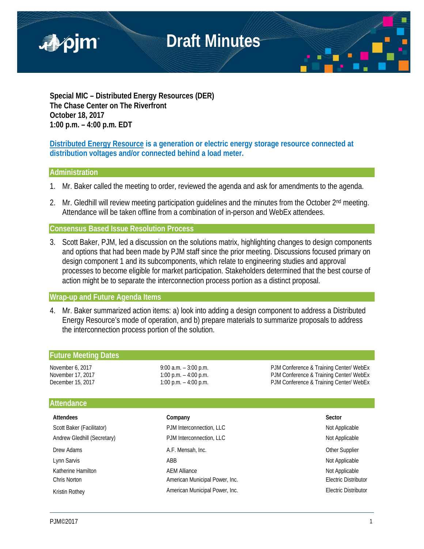

**Special MIC – Distributed Energy Resources (DER) The Chase Center on The Riverfront October 18, 2017 1:00 p.m. – 4:00 p.m. EDT**

**Distributed Energy Resource is a generation or electric energy storage resource connected at distribution voltages and/or connected behind a load meter.**

### **Administration**

- 1. Mr. Baker called the meeting to order, reviewed the agenda and ask for amendments to the agenda.
- 2. Mr. Gledhill will review meeting participation guidelines and the minutes from the October 2<sup>nd</sup> meeting. Attendance will be taken offline from a combination of in-person and WebEx attendees.

**Consensus Based Issue Resolution Process**

3. Scott Baker, PJM, led a discussion on the solutions matrix, highlighting changes to design components and options that had been made by PJM staff since the prior meeting. Discussions focused primary on design component 1 and its subcomponents, which relate to engineering studies and approval processes to become eligible for market participation. Stakeholders determined that the best course of action might be to separate the interconnection process portion as a distinct proposal.

### **Wrap-up and Future Agenda Items**

4. Mr. Baker summarized action items: a) look into adding a design component to address a Distributed Energy Resource's mode of operation, and b) prepare materials to summarize proposals to address the interconnection process portion of the solution.

| <b>Future Meeting Dates</b> |                          |                                         |
|-----------------------------|--------------------------|-----------------------------------------|
| November 6, 2017            | $9:00$ a.m. $-3:00$ p.m. | PJM Conference & Training Center/ WebEx |
| November 17, 2017           | 1:00 p.m. $-$ 4:00 p.m.  | PJM Conference & Training Center/ WebEx |
| December 15, 2017           | 1:00 p.m. $-$ 4:00 p.m.  | PJM Conference & Training Center/ WebEx |
| <b>Attondonco</b>           |                          |                                         |

## **Attendanc**

| <b>Attendees</b>            | Company                        | Sector                      |
|-----------------------------|--------------------------------|-----------------------------|
| Scott Baker (Facilitator)   | PJM Interconnection, LLC       | Not Applicable              |
| Andrew Gledhill (Secretary) | PJM Interconnection, LLC       | Not Applicable              |
| Drew Adams                  | A.F. Mensah, Inc.              | <b>Other Supplier</b>       |
| Lynn Sarvis                 | ABB                            | Not Applicable              |
| Katherine Hamilton          | <b>AEM Alliance</b>            | Not Applicable              |
| Chris Norton                | American Municipal Power, Inc. | <b>Electric Distributor</b> |
| <b>Kristin Rothey</b>       | American Municipal Power, Inc. | <b>Electric Distributor</b> |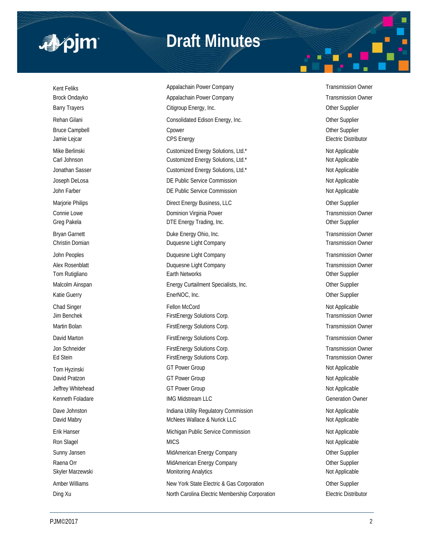

# **Draft Minutes**

Kent Feliks **Appalachain Power Company Appalachain Power Company** Transmission Owner Brock Ondayko **Appalachain Power Company Company** Transmission Owner Company **Transmission Owner** Barry Trayers **Citigroup Energy, Inc.** Communication Communication Communication Communication Communication Communication Communication Communication Communication Communication Communication Communication Communication C Rehan Gilani **Consolidated Edison Energy, Inc.** Consolidated Edison Energy, Inc. Bruce Campbell **Champbell** Cpower Controllers and Controllers and Controllers of the Supplier Jamie Lejcar **CPS** Energy **CPS** Energy **CPS** Energy **Electric Distributor** Mike Berlinski **Nicholas Customized Energy Solutions**, Ltd.\* Not Applicable Carl Johnson Customized Energy Solutions, Ltd.\* Not Applicable Not Applicable Jonathan Sasser **Customized Energy Solutions, Ltd.\*** Not Applicable Not Applicable Joseph DeLosa **DE Public Service Commission** DE Public Service Commission Not Applicable John Farber **DE Public Service Commission DE Public Service Commission** Not Applicable Marjorie Philips **Direct Energy Business, LLC Direct Energy Business**, LLC Connie Lowe **Connie Lowe Dominion Virginia Power Connie Lowe Transmission Owner** Greg Pakela **DTE Energy Trading, Inc.** Character Communication of the Supplier Bryan Garnett **Example 20** Energy Ohio, Inc. Transmission Owner **Duke Energy Ohio, Inc.** Transmission Owner Christin Domian Duquesne Light Company Transmission Owner John Peoples **Duquesne Light Company Transmission Owner** Transmission Owner Alex Rosenblatt **Alex Rosenblatt** Company Duquesne Light Company **Transmission Owner** Transmission Owner Tom Rutigliano **Earth Networks** Character Character Character Character Character Character Character Character Character Character Character Character Character Character Character Character Character Character Character Malcolm Ainspan **Energy Curtailment Specialists, Inc.** Chronic Communisty Communisty Communisty Communisty Communisty Communisty Communisty Communisty Communisty Communisty Communisty Communisty Communisty Communisty Commu Katie Guerry **EnerNOC, Inc. Community Control** Chern Supplier Community Chern Supplier Chad Singer Fellon McCord in the State of the Shad Singer Not Applicable Not Applicable of the Shad Singer State of the Shad Singer State of the Shad Singer State of the Shad Singer State of the Shad Singer State of the Sh Jim Benchek FirstEnergy Solutions Corp. Transmission Owner Martin Bolan **FirstEnergy Solutions Corp.** Transmission Owner Corp. Transmission Owner David Marton **FirstEnergy Solutions Corp.** Transmission Owner Corp. Transmission Owner Jon Schneider **FirstEnergy Solutions Corp.** Transmission Owner Corp. Transmission Owner Ed Stein FirstEnergy Solutions Corp. Transmission Owner Corp. Transmission Owner Tom Hyzinski komponent GT Power Group Not Applicable Not Applicable David Pratzon Not Applicable Communication Communication Communication Communication Communication Communication Communication Communication Communication Not Applicable Jeffrey Whitehead **GT Power Group COVID-1999** Not Applicable Kenneth Foladare **IMG Midstream LLC** Generation Owner Dave Johnston **Indiana Utility Regulatory Commission** Not Applicable Not Applicable David Mabry **McNees Wallace & Nurick LLC** Not Applicable Not Applicable Erik Hanser Nichigan Public Service Commission Not Applicable Not Applicable Ron Slagel Not Applicable Not Applicable Not Applicable Sunny Jansen **MidAmerican Energy Company Company** Other Supplier Raena Orr **MidAmerican Energy Company** Company Company Company Company Company Company Company Company Company Company Skyler Marzewski **Monitoring Analytics** Monitoring Analytics Not Applicable Amber Williams **New York State Electric & Gas Corporation** Cher Supplier

Ding Xu **North Carolina Electric Membership Corporation** Electric Distributor Electric Distributor